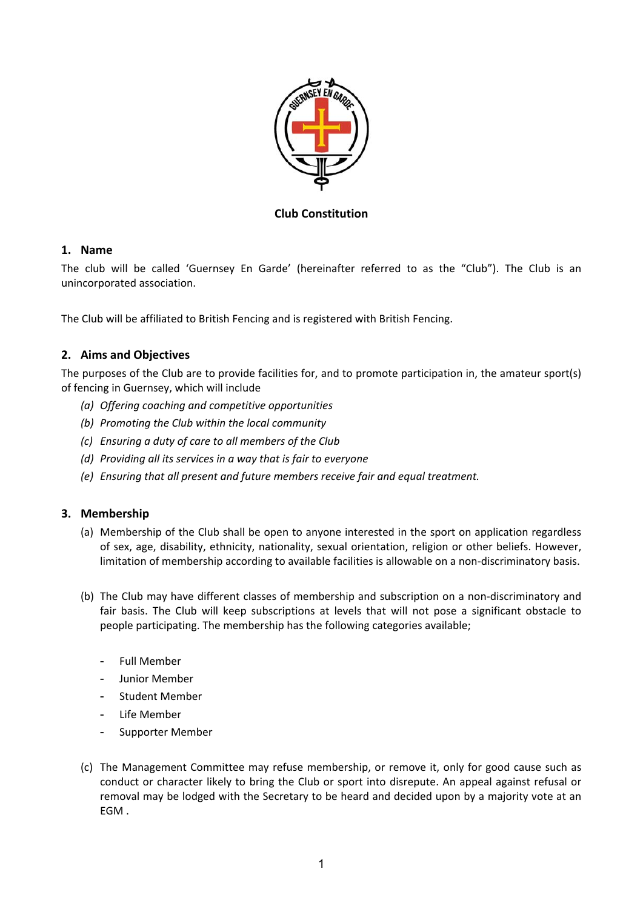

**Club Constitution** 

## **1. Name**

The club will be called 'Guernsey En Garde' (hereinafter referred to as the "Club"). The Club is an unincorporated association.

The Club will be affiliated to British Fencing and is registered with British Fencing.

# **2. Aims and Objectives**

The purposes of the Club are to provide facilities for, and to promote participation in, the amateur sport(s) of fencing in Guernsey, which will include

- *(a) Offering coaching and competitive opportunities*
- *(b) Promoting the Club within the local community*
- *(c) Ensuring a duty of care to all members of the Club*
- *(d) Providing all its services in a way that is fair to everyone*
- *(e) Ensuring that all present and future members receive fair and equal treatment.*

## **3. Membership**

- (a) Membership of the Club shall be open to anyone interested in the sport on application regardless of sex, age, disability, ethnicity, nationality, sexual orientation, religion or other beliefs. However, limitation of membership according to available facilities is allowable on a non-discriminatory basis.
- (b) The Club may have different classes of membership and subscription on a non‐discriminatory and fair basis. The Club will keep subscriptions at levels that will not pose a significant obstacle to people participating. The membership has the following categories available;
	- Full Member
	- Junior Member
	- Student Member
	- Life Member
	- Supporter Member
- (c) The Management Committee may refuse membership, or remove it, only for good cause such as conduct or character likely to bring the Club or sport into disrepute. An appeal against refusal or removal may be lodged with the Secretary to be heard and decided upon by a majority vote at an EGM .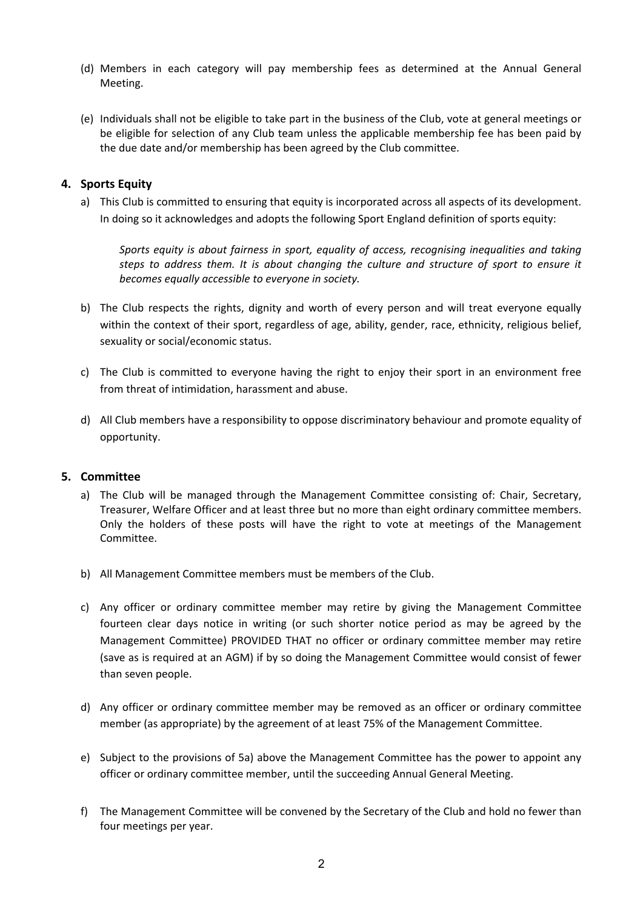- (d) Members in each category will pay membership fees as determined at the Annual General Meeting.
- (e) Individuals shall not be eligible to take part in the business of the Club, vote at general meetings or be eligible for selection of any Club team unless the applicable membership fee has been paid by the due date and/or membership has been agreed by the Club committee.

## **4. Sports Equity**

a) This Club is committed to ensuring that equity is incorporated across all aspects of its development. In doing so it acknowledges and adopts the following Sport England definition of sports equity:

*Sports equity is about fairness in sport, equality of access, recognising inequalities and taking steps to address them. It is about changing the culture and structure of sport to ensure it becomes equally accessible to everyone in society.* 

- b) The Club respects the rights, dignity and worth of every person and will treat everyone equally within the context of their sport, regardless of age, ability, gender, race, ethnicity, religious belief, sexuality or social/economic status.
- c) The Club is committed to everyone having the right to enjoy their sport in an environment free from threat of intimidation, harassment and abuse.
- d) All Club members have a responsibility to oppose discriminatory behaviour and promote equality of opportunity.

#### **5. Committee**

- a) The Club will be managed through the Management Committee consisting of: Chair, Secretary, Treasurer, Welfare Officer and at least three but no more than eight ordinary committee members. Only the holders of these posts will have the right to vote at meetings of the Management Committee.
- b) All Management Committee members must be members of the Club.
- c) Any officer or ordinary committee member may retire by giving the Management Committee fourteen clear days notice in writing (or such shorter notice period as may be agreed by the Management Committee) PROVIDED THAT no officer or ordinary committee member may retire (save as is required at an AGM) if by so doing the Management Committee would consist of fewer than seven people.
- d) Any officer or ordinary committee member may be removed as an officer or ordinary committee member (as appropriate) by the agreement of at least 75% of the Management Committee.
- e) Subject to the provisions of 5a) above the Management Committee has the power to appoint any officer or ordinary committee member, until the succeeding Annual General Meeting.
- f) The Management Committee will be convened by the Secretary of the Club and hold no fewer than four meetings per year.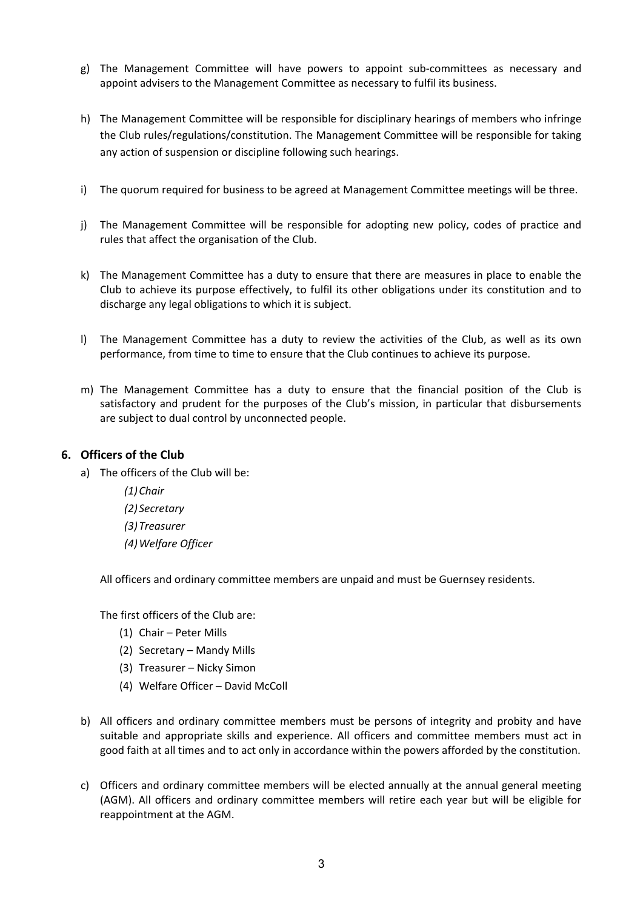- g) The Management Committee will have powers to appoint sub-committees as necessary and appoint advisers to the Management Committee as necessary to fulfil its business.
- h) The Management Committee will be responsible for disciplinary hearings of members who infringe the Club rules/regulations/constitution. The Management Committee will be responsible for taking any action of suspension or discipline following such hearings.
- i) The quorum required for business to be agreed at Management Committee meetings will be three.
- j) The Management Committee will be responsible for adopting new policy, codes of practice and rules that affect the organisation of the Club.
- k) The Management Committee has a duty to ensure that there are measures in place to enable the Club to achieve its purpose effectively, to fulfil its other obligations under its constitution and to discharge any legal obligations to which it is subject.
- l) The Management Committee has a duty to review the activities of the Club, as well as its own performance, from time to time to ensure that the Club continues to achieve its purpose.
- m) The Management Committee has a duty to ensure that the financial position of the Club is satisfactory and prudent for the purposes of the Club's mission, in particular that disbursements are subject to dual control by unconnected people.

#### **6. Officers of the Club**

- a) The officers of the Club will be:
	- *(1)Chair*
	- *(2) Secretary*
	- *(3)Treasurer*
	- *(4)Welfare Officer*

All officers and ordinary committee members are unpaid and must be Guernsey residents.

The first officers of the Club are:

- (1) Chair Peter Mills
- (2) Secretary Mandy Mills
- (3) Treasurer Nicky Simon
- (4) Welfare Officer David McColl
- b) All officers and ordinary committee members must be persons of integrity and probity and have suitable and appropriate skills and experience. All officers and committee members must act in good faith at all times and to act only in accordance within the powers afforded by the constitution.
- c) Officers and ordinary committee members will be elected annually at the annual general meeting (AGM). All officers and ordinary committee members will retire each year but will be eligible for reappointment at the AGM.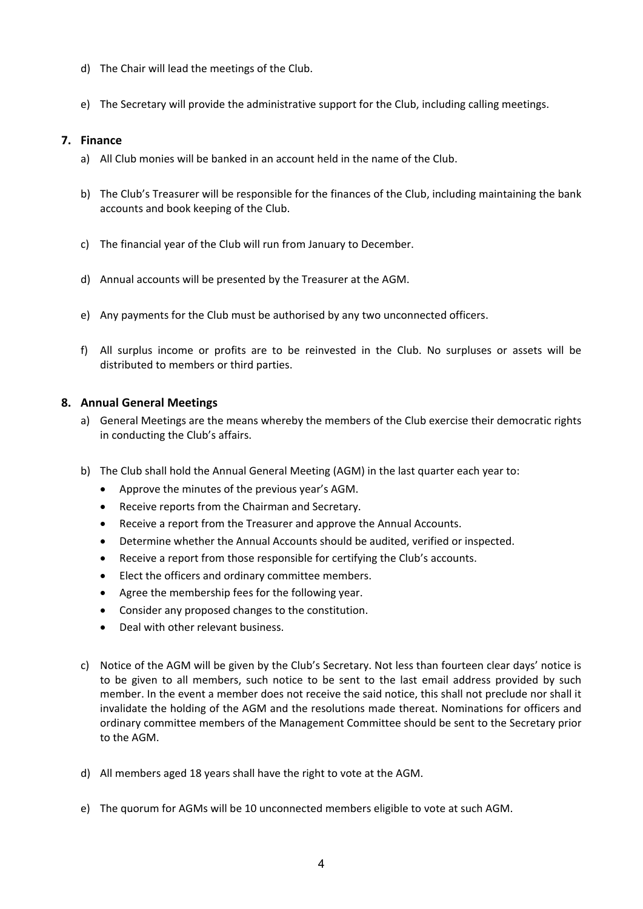- d) The Chair will lead the meetings of the Club.
- e) The Secretary will provide the administrative support for the Club, including calling meetings.

### **7. Finance**

- a) All Club monies will be banked in an account held in the name of the Club.
- b) The Club's Treasurer will be responsible for the finances of the Club, including maintaining the bank accounts and book keeping of the Club.
- c) The financial year of the Club will run from January to December.
- d) Annual accounts will be presented by the Treasurer at the AGM.
- e) Any payments for the Club must be authorised by any two unconnected officers.
- f) All surplus income or profits are to be reinvested in the Club. No surpluses or assets will be distributed to members or third parties.

### **8. Annual General Meetings**

- a) General Meetings are the means whereby the members of the Club exercise their democratic rights in conducting the Club's affairs.
- b) The Club shall hold the Annual General Meeting (AGM) in the last quarter each year to:
	- Approve the minutes of the previous year's AGM.
	- Receive reports from the Chairman and Secretary.
	- Receive a report from the Treasurer and approve the Annual Accounts.
	- Determine whether the Annual Accounts should be audited, verified or inspected.
	- Receive a report from those responsible for certifying the Club's accounts.
	- Elect the officers and ordinary committee members.
	- Agree the membership fees for the following year.
	- Consider any proposed changes to the constitution.
	- Deal with other relevant business.
- c) Notice of the AGM will be given by the Club's Secretary. Not less than fourteen clear days' notice is to be given to all members, such notice to be sent to the last email address provided by such member. In the event a member does not receive the said notice, this shall not preclude nor shall it invalidate the holding of the AGM and the resolutions made thereat. Nominations for officers and ordinary committee members of the Management Committee should be sent to the Secretary prior to the AGM.
- d) All members aged 18 years shall have the right to vote at the AGM.
- e) The quorum for AGMs will be 10 unconnected members eligible to vote at such AGM.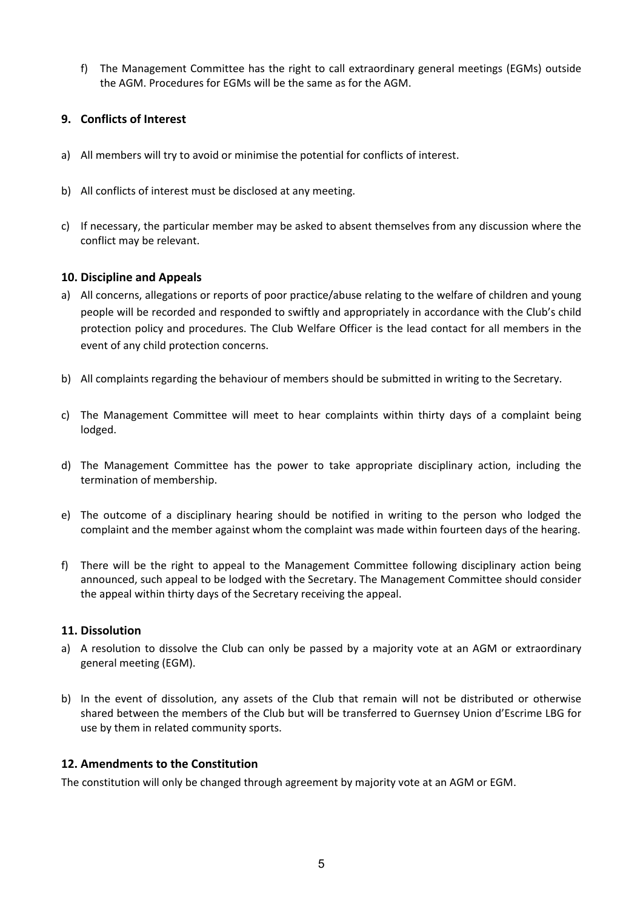f) The Management Committee has the right to call extraordinary general meetings (EGMs) outside the AGM. Procedures for EGMs will be the same as for the AGM.

# **9. Conflicts of Interest**

- a) All members will try to avoid or minimise the potential for conflicts of interest.
- b) All conflicts of interest must be disclosed at any meeting.
- c) If necessary, the particular member may be asked to absent themselves from any discussion where the conflict may be relevant.

### **10. Discipline and Appeals**

- a) All concerns, allegations or reports of poor practice/abuse relating to the welfare of children and young people will be recorded and responded to swiftly and appropriately in accordance with the Club's child protection policy and procedures. The Club Welfare Officer is the lead contact for all members in the event of any child protection concerns.
- b) All complaints regarding the behaviour of members should be submitted in writing to the Secretary.
- c) The Management Committee will meet to hear complaints within thirty days of a complaint being lodged.
- d) The Management Committee has the power to take appropriate disciplinary action, including the termination of membership.
- e) The outcome of a disciplinary hearing should be notified in writing to the person who lodged the complaint and the member against whom the complaint was made within fourteen days of the hearing.
- f) There will be the right to appeal to the Management Committee following disciplinary action being announced, such appeal to be lodged with the Secretary. The Management Committee should consider the appeal within thirty days of the Secretary receiving the appeal.

#### **11. Dissolution**

- a) A resolution to dissolve the Club can only be passed by a majority vote at an AGM or extraordinary general meeting (EGM).
- b) In the event of dissolution, any assets of the Club that remain will not be distributed or otherwise shared between the members of the Club but will be transferred to Guernsey Union d'Escrime LBG for use by them in related community sports.

## **12. Amendments to the Constitution**

The constitution will only be changed through agreement by majority vote at an AGM or EGM.